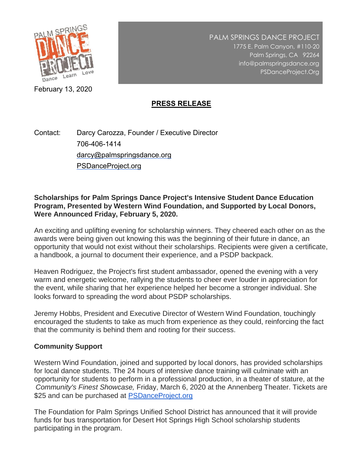

PALM SPRINGS DANCE PROJECT 1775 E. Palm Canyon, #110-20 Palm Springs, CA 92264 info@palmspringsdance.org PSDanceProject.Org

February 13, 2020

# **PRESS RELEASE**

Contact: Darcy Carozza, Founder / Executive Director 706-406-1414 darcy@palmspringsdance.org PSDanceProject.org

**Scholarships for Palm Springs Dance Project's Intensive Student Dance Education Program, Presented by Western Wind Foundation, and Supported by Local Donors, Were Announced Friday, February 5, 2020.**

An exciting and uplifting evening for scholarship winners. They cheered each other on as the awards were being given out knowing this was the beginning of their future in dance, an opportunity that would not exist without their scholarships. Recipients were given a certificate, a handbook, a journal to document their experience, and a PSDP backpack.

Heaven Rodriguez, the Project's first student ambassador, opened the evening with a very warm and energetic welcome, rallying the students to cheer ever louder in appreciation for the event, while sharing that her experience helped her become a stronger individual. She looks forward to spreading the word about PSDP scholarships.

Jeremy Hobbs, President and Executive Director of Western Wind Foundation, touchingly encouraged the students to take as much from experience as they could, reinforcing the fact that the community is behind them and rooting for their success.

#### **Community Support**

Western Wind Foundation, joined and supported by local donors, has provided scholarships for local dance students. The 24 hours of intensive dance training will culminate with an opportunity for students to perform in a professional production, in a theater of stature, at the *Community's Finest Showcase,* Friday, March 6, 2020 at the Annenberg Theater. Tickets are \$25 and can be purchased at [PSDanceProject.org](http://psdanceproject.org/)

The Foundation for Palm Springs Unified School District has announced that it will provide funds for bus transportation for Desert Hot Springs High School scholarship students participating in the program.